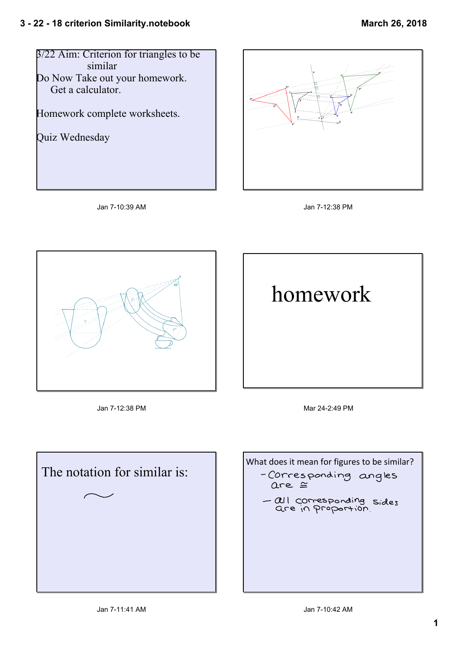









Jan 712:38 PM Mar 242:49 PM



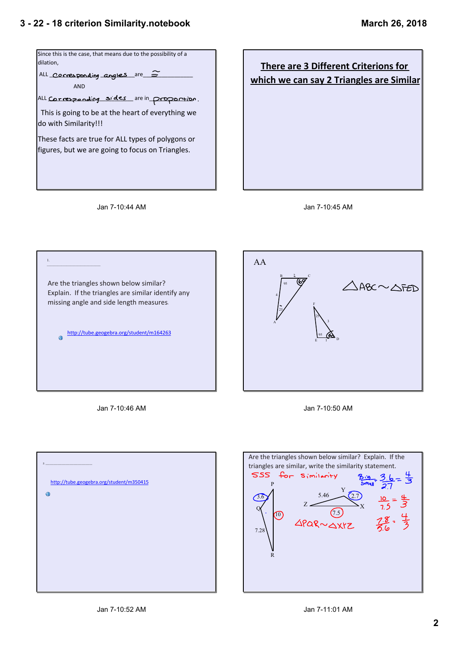









Jan 7-10:46 AM



| 2.5 <sup>2</sup>                                      |
|-------------------------------------------------------|
| http://tube.geogebra.org/student/m350415<br>$\bullet$ |
|                                                       |
|                                                       |
|                                                       |
|                                                       |
|                                                       |

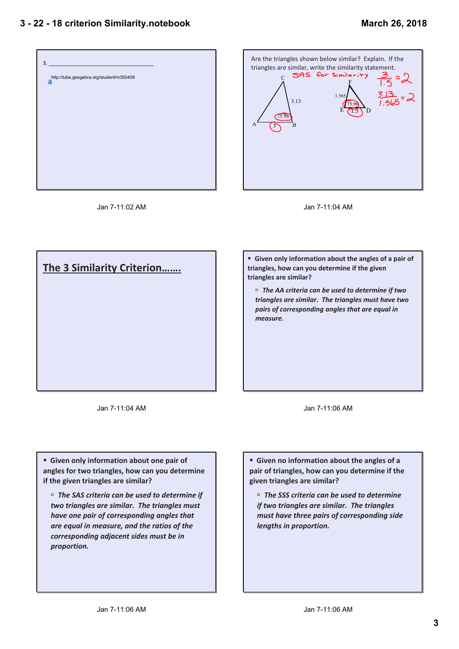



Jan 7-11:02 AM



**The 3 Similarity Criterion……. F** Given only information about the angles of a pair of **triangles, how can you determine if the given triangles are similar?** ˙ *The AA criteria can be used to determine if two triangles are similar. The triangles must have two pairs of corresponding angles that are equal in measure.*

Jan 7-11:04 AM

Jan 7-11:06 AM

**Example 3 Given only information about one pair of angles for two triangles, how can you determine if the given triangles are similar?**

˙ *The SAS criteria can be used to determine if two triangles are similar. The triangles must have one pair of corresponding angles that are equal in measure, and the ratios of the corresponding adjacent sides must be in proportion.*

**Example 3 Given no information about the angles of a pair of triangles, how can you determine if the given triangles are similar?**

˙ *The SSS criteria can be used to determine if two triangles are similar. The triangles must have three pairs of corresponding side lengths in proportion.*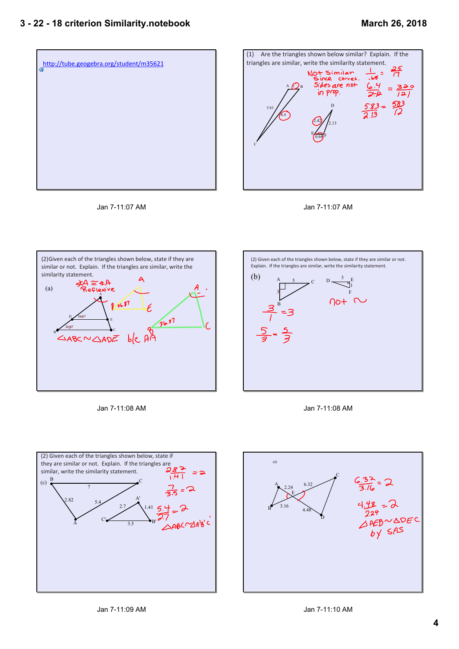









Jan 7-11:08 AM







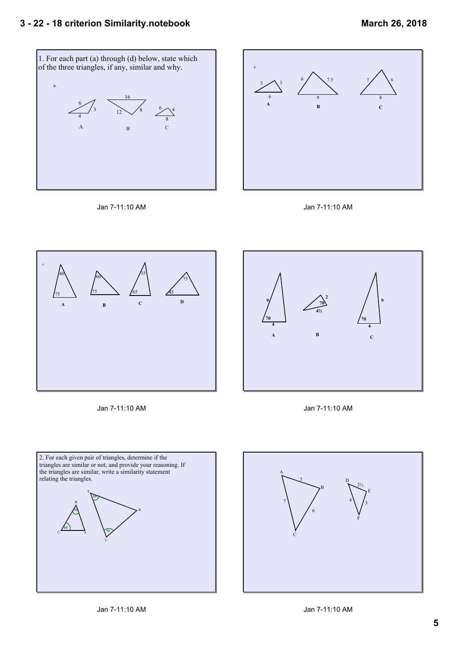









Jan 7-11:10 AM







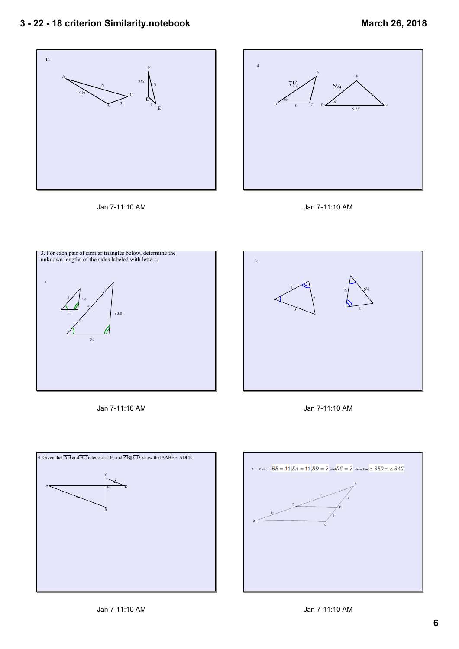## **3 22 18 criterion Similarity.notebook**









Jan 7-11:10 AM